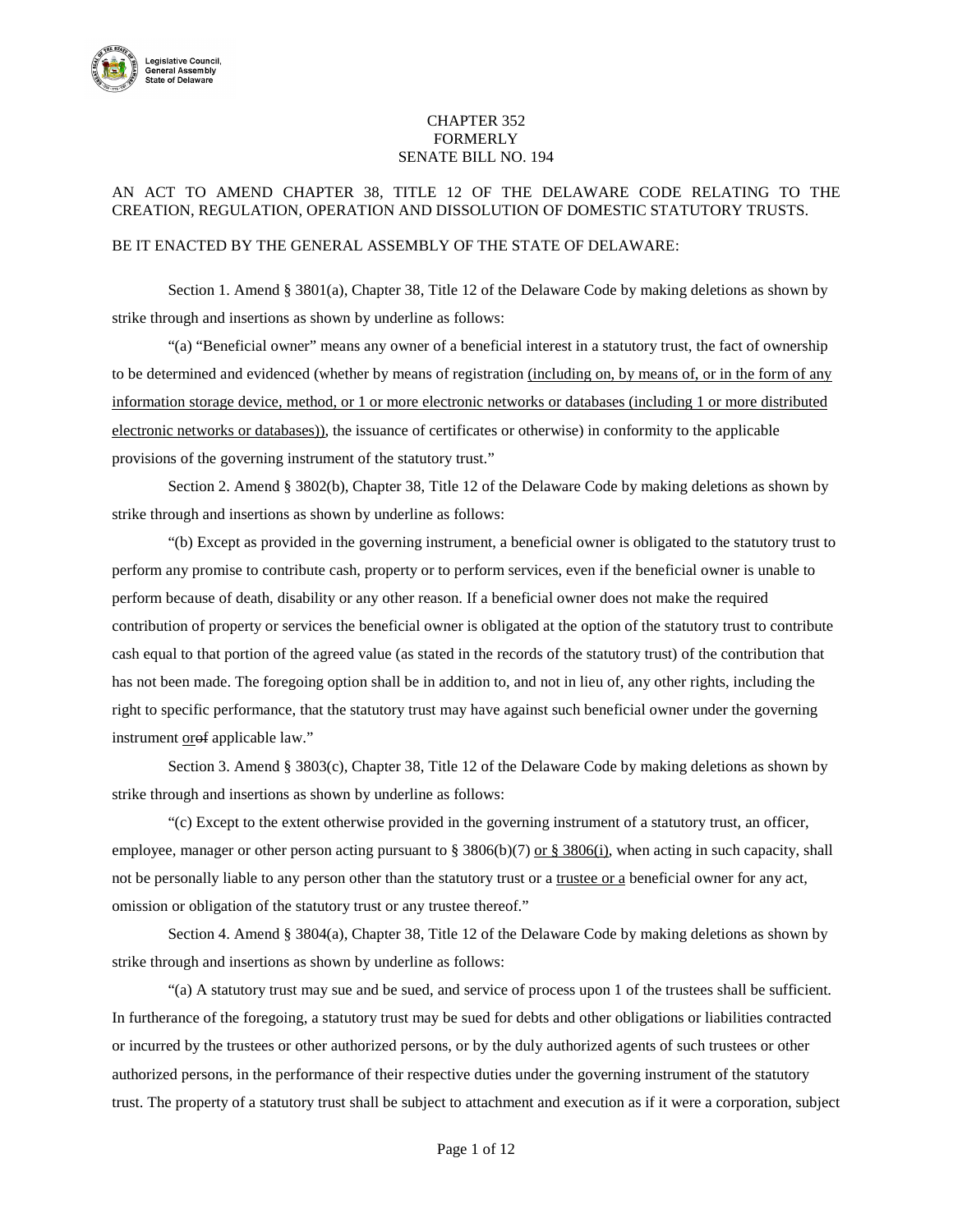

## CHAPTER 352 FORMERLY SENATE BILL NO. 194

## AN ACT TO AMEND CHAPTER 38, TITLE 12 OF THE DELAWARE CODE RELATING TO THE CREATION, REGULATION, OPERATION AND DISSOLUTION OF DOMESTIC STATUTORY TRUSTS.

## BE IT ENACTED BY THE GENERAL ASSEMBLY OF THE STATE OF DELAWARE:

Section 1. Amend § 3801(a), Chapter 38, Title 12 of the Delaware Code by making deletions as shown by strike through and insertions as shown by underline as follows:

"(a) "Beneficial owner" means any owner of a beneficial interest in a statutory trust, the fact of ownership to be determined and evidenced (whether by means of registration (including on, by means of, or in the form of any information storage device, method, or 1 or more electronic networks or databases (including 1 or more distributed electronic networks or databases)), the issuance of certificates or otherwise) in conformity to the applicable provisions of the governing instrument of the statutory trust."

Section 2. Amend § 3802(b), Chapter 38, Title 12 of the Delaware Code by making deletions as shown by strike through and insertions as shown by underline as follows:

"(b) Except as provided in the governing instrument, a beneficial owner is obligated to the statutory trust to perform any promise to contribute cash, property or to perform services, even if the beneficial owner is unable to perform because of death, disability or any other reason. If a beneficial owner does not make the required contribution of property or services the beneficial owner is obligated at the option of the statutory trust to contribute cash equal to that portion of the agreed value (as stated in the records of the statutory trust) of the contribution that has not been made. The foregoing option shall be in addition to, and not in lieu of, any other rights, including the right to specific performance, that the statutory trust may have against such beneficial owner under the governing instrument orof applicable law."

Section 3. Amend § 3803(c), Chapter 38, Title 12 of the Delaware Code by making deletions as shown by strike through and insertions as shown by underline as follows:

"(c) Except to the extent otherwise provided in the governing instrument of a statutory trust, an officer, employee, manager or other person acting pursuant to § 3806(b)(7) or § 3806(i), when acting in such capacity, shall not be personally liable to any person other than the statutory trust or a trustee or a beneficial owner for any act, omission or obligation of the statutory trust or any trustee thereof."

Section 4. Amend § 3804(a), Chapter 38, Title 12 of the Delaware Code by making deletions as shown by strike through and insertions as shown by underline as follows:

"(a) A statutory trust may sue and be sued, and service of process upon 1 of the trustees shall be sufficient. In furtherance of the foregoing, a statutory trust may be sued for debts and other obligations or liabilities contracted or incurred by the trustees or other authorized persons, or by the duly authorized agents of such trustees or other authorized persons, in the performance of their respective duties under the governing instrument of the statutory trust. The property of a statutory trust shall be subject to attachment and execution as if it were a corporation, subject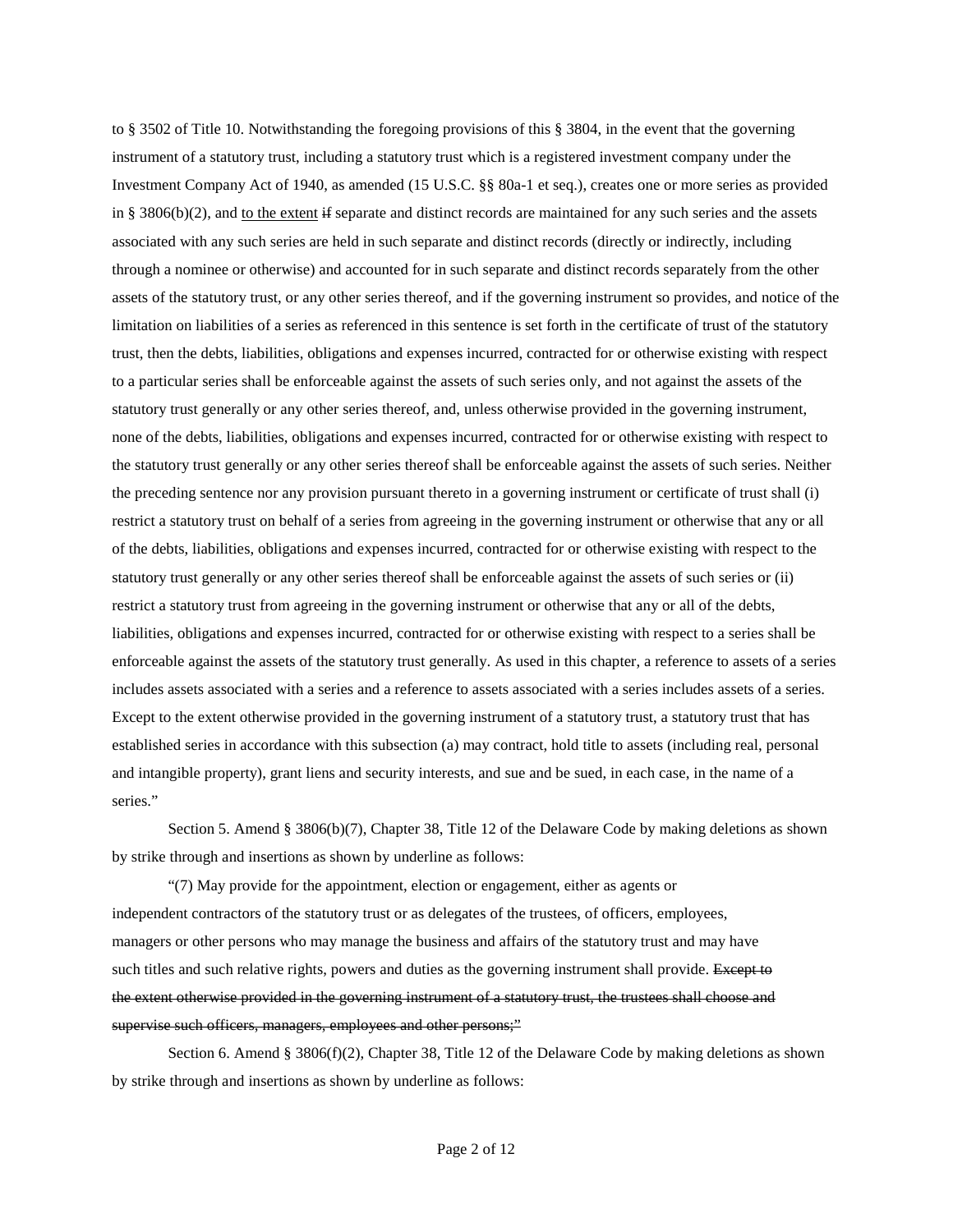to § 3502 of Title 10. Notwithstanding the foregoing provisions of this § 3804, in the event that the governing instrument of a statutory trust, including a statutory trust which is a registered investment company under the Investment Company Act of 1940, as amended (15 U.S.C. §§ 80a-1 et seq.), creates one or more series as provided in § 3806(b)(2), and to the extent if separate and distinct records are maintained for any such series and the assets associated with any such series are held in such separate and distinct records (directly or indirectly, including through a nominee or otherwise) and accounted for in such separate and distinct records separately from the other assets of the statutory trust, or any other series thereof, and if the governing instrument so provides, and notice of the limitation on liabilities of a series as referenced in this sentence is set forth in the certificate of trust of the statutory trust, then the debts, liabilities, obligations and expenses incurred, contracted for or otherwise existing with respect to a particular series shall be enforceable against the assets of such series only, and not against the assets of the statutory trust generally or any other series thereof, and, unless otherwise provided in the governing instrument, none of the debts, liabilities, obligations and expenses incurred, contracted for or otherwise existing with respect to the statutory trust generally or any other series thereof shall be enforceable against the assets of such series. Neither the preceding sentence nor any provision pursuant thereto in a governing instrument or certificate of trust shall (i) restrict a statutory trust on behalf of a series from agreeing in the governing instrument or otherwise that any or all of the debts, liabilities, obligations and expenses incurred, contracted for or otherwise existing with respect to the statutory trust generally or any other series thereof shall be enforceable against the assets of such series or (ii) restrict a statutory trust from agreeing in the governing instrument or otherwise that any or all of the debts, liabilities, obligations and expenses incurred, contracted for or otherwise existing with respect to a series shall be enforceable against the assets of the statutory trust generally. As used in this chapter, a reference to assets of a series includes assets associated with a series and a reference to assets associated with a series includes assets of a series. Except to the extent otherwise provided in the governing instrument of a statutory trust, a statutory trust that has established series in accordance with this subsection (a) may contract, hold title to assets (including real, personal and intangible property), grant liens and security interests, and sue and be sued, in each case, in the name of a series."

Section 5. Amend § 3806(b)(7), Chapter 38, Title 12 of the Delaware Code by making deletions as shown by strike through and insertions as shown by underline as follows:

"(7) May provide for the appointment, election or engagement, either as agents or independent contractors of the statutory trust or as delegates of the trustees, of officers, employees, managers or other persons who may manage the business and affairs of the statutory trust and may have such titles and such relative rights, powers and duties as the governing instrument shall provide. Except to the extent otherwise provided in the governing instrument of a statutory trust, the trustees shall choose and supervise such officers, managers, employees and other persons;"

Section 6. Amend § 3806(f)(2), Chapter 38, Title 12 of the Delaware Code by making deletions as shown by strike through and insertions as shown by underline as follows: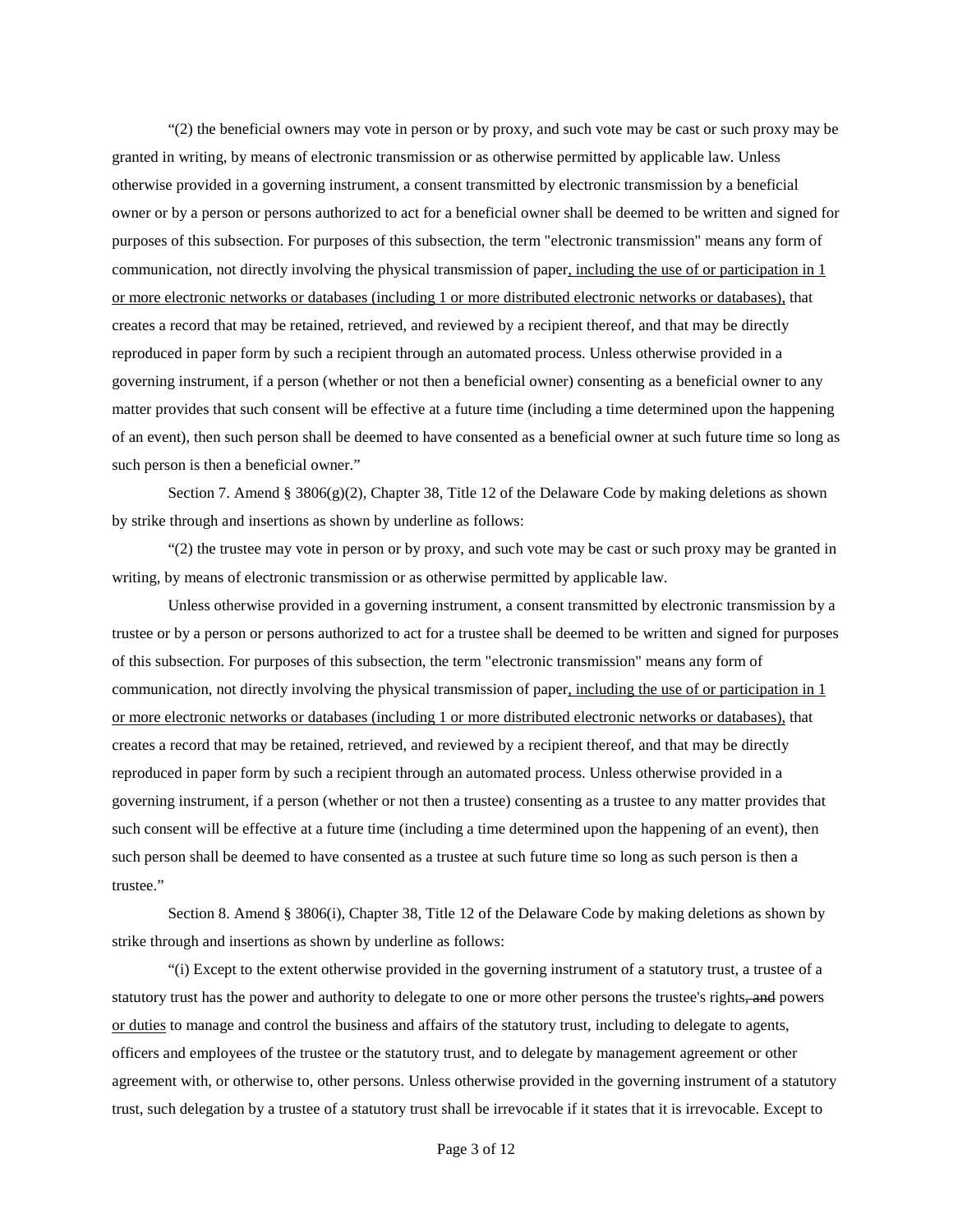"(2) the beneficial owners may vote in person or by proxy, and such vote may be cast or such proxy may be granted in writing, by means of electronic transmission or as otherwise permitted by applicable law. Unless otherwise provided in a governing instrument, a consent transmitted by electronic transmission by a beneficial owner or by a person or persons authorized to act for a beneficial owner shall be deemed to be written and signed for purposes of this subsection. For purposes of this subsection, the term "electronic transmission" means any form of communication, not directly involving the physical transmission of paper, including the use of or participation in 1 or more electronic networks or databases (including 1 or more distributed electronic networks or databases), that creates a record that may be retained, retrieved, and reviewed by a recipient thereof, and that may be directly reproduced in paper form by such a recipient through an automated process. Unless otherwise provided in a governing instrument, if a person (whether or not then a beneficial owner) consenting as a beneficial owner to any matter provides that such consent will be effective at a future time (including a time determined upon the happening of an event), then such person shall be deemed to have consented as a beneficial owner at such future time so long as such person is then a beneficial owner."

Section 7. Amend §  $3806(g)(2)$ , Chapter 38, Title 12 of the Delaware Code by making deletions as shown by strike through and insertions as shown by underline as follows:

"(2) the trustee may vote in person or by proxy, and such vote may be cast or such proxy may be granted in writing, by means of electronic transmission or as otherwise permitted by applicable law.

Unless otherwise provided in a governing instrument, a consent transmitted by electronic transmission by a trustee or by a person or persons authorized to act for a trustee shall be deemed to be written and signed for purposes of this subsection. For purposes of this subsection, the term "electronic transmission" means any form of communication, not directly involving the physical transmission of paper, including the use of or participation in 1 or more electronic networks or databases (including 1 or more distributed electronic networks or databases), that creates a record that may be retained, retrieved, and reviewed by a recipient thereof, and that may be directly reproduced in paper form by such a recipient through an automated process. Unless otherwise provided in a governing instrument, if a person (whether or not then a trustee) consenting as a trustee to any matter provides that such consent will be effective at a future time (including a time determined upon the happening of an event), then such person shall be deemed to have consented as a trustee at such future time so long as such person is then a trustee."

Section 8. Amend § 3806(i), Chapter 38, Title 12 of the Delaware Code by making deletions as shown by strike through and insertions as shown by underline as follows:

"(i) Except to the extent otherwise provided in the governing instrument of a statutory trust, a trustee of a statutory trust has the power and authority to delegate to one or more other persons the trustee's rights, and powers or duties to manage and control the business and affairs of the statutory trust, including to delegate to agents, officers and employees of the trustee or the statutory trust, and to delegate by management agreement or other agreement with, or otherwise to, other persons. Unless otherwise provided in the governing instrument of a statutory trust, such delegation by a trustee of a statutory trust shall be irrevocable if it states that it is irrevocable. Except to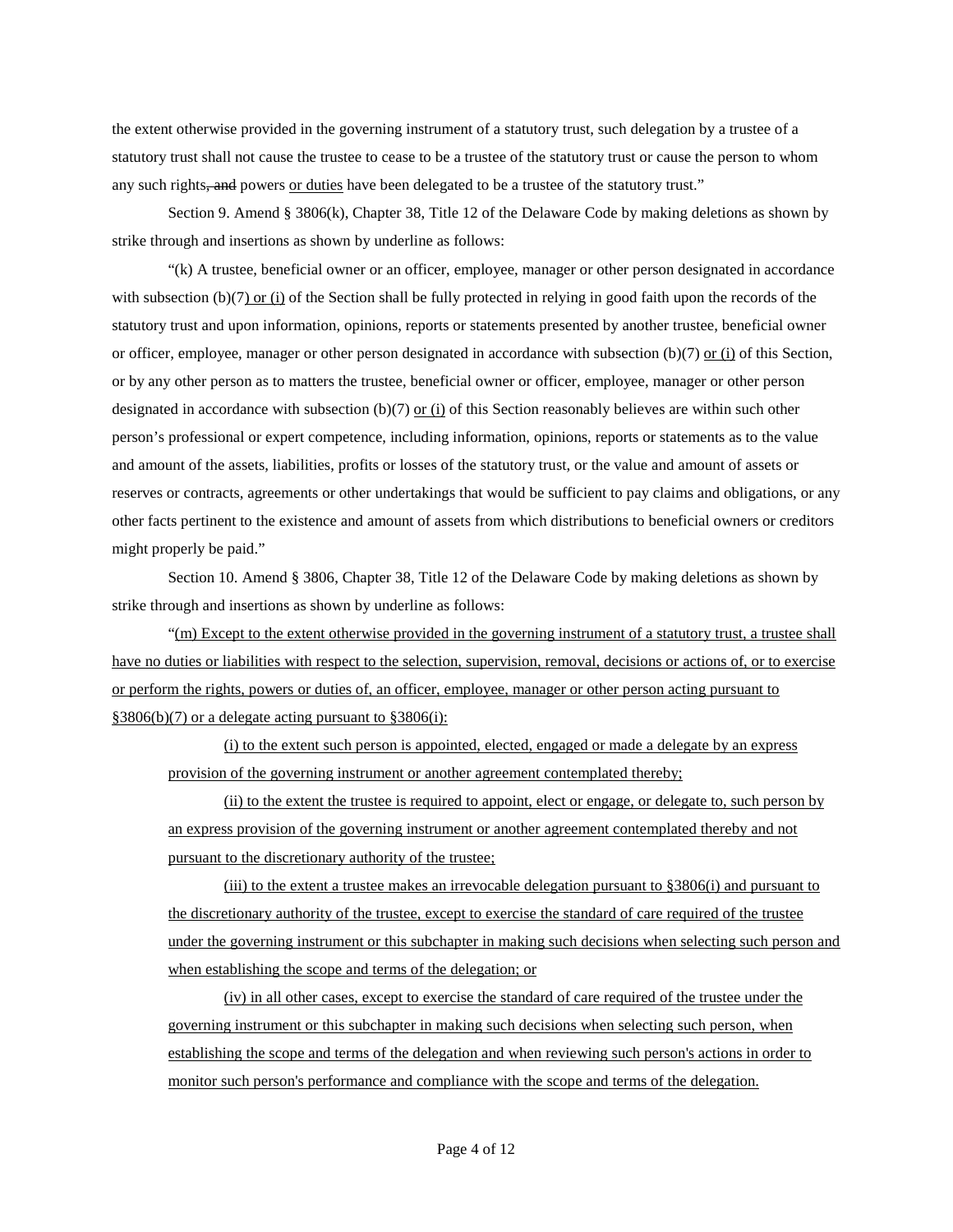the extent otherwise provided in the governing instrument of a statutory trust, such delegation by a trustee of a statutory trust shall not cause the trustee to cease to be a trustee of the statutory trust or cause the person to whom any such rights, and powers or duties have been delegated to be a trustee of the statutory trust."

Section 9. Amend § 3806(k), Chapter 38, Title 12 of the Delaware Code by making deletions as shown by strike through and insertions as shown by underline as follows:

"(k) A trustee, beneficial owner or an officer, employee, manager or other person designated in accordance with subsection (b) $(7)$  or (i) of the Section shall be fully protected in relying in good faith upon the records of the statutory trust and upon information, opinions, reports or statements presented by another trustee, beneficial owner or officer, employee, manager or other person designated in accordance with subsection (b)(7) or (i) of this Section, or by any other person as to matters the trustee, beneficial owner or officer, employee, manager or other person designated in accordance with subsection (b)(7) or (i) of this Section reasonably believes are within such other person's professional or expert competence, including information, opinions, reports or statements as to the value and amount of the assets, liabilities, profits or losses of the statutory trust, or the value and amount of assets or reserves or contracts, agreements or other undertakings that would be sufficient to pay claims and obligations, or any other facts pertinent to the existence and amount of assets from which distributions to beneficial owners or creditors might properly be paid."

Section 10. Amend § 3806, Chapter 38, Title 12 of the Delaware Code by making deletions as shown by strike through and insertions as shown by underline as follows:

"(m) Except to the extent otherwise provided in the governing instrument of a statutory trust, a trustee shall have no duties or liabilities with respect to the selection, supervision, removal, decisions or actions of, or to exercise or perform the rights, powers or duties of, an officer, employee, manager or other person acting pursuant to §3806(b)(7) or a delegate acting pursuant to §3806(i):

(i) to the extent such person is appointed, elected, engaged or made a delegate by an express provision of the governing instrument or another agreement contemplated thereby;

(ii) to the extent the trustee is required to appoint, elect or engage, or delegate to, such person by an express provision of the governing instrument or another agreement contemplated thereby and not pursuant to the discretionary authority of the trustee;

(iii) to the extent a trustee makes an irrevocable delegation pursuant to §3806(i) and pursuant to the discretionary authority of the trustee, except to exercise the standard of care required of the trustee under the governing instrument or this subchapter in making such decisions when selecting such person and when establishing the scope and terms of the delegation; or

(iv) in all other cases, except to exercise the standard of care required of the trustee under the governing instrument or this subchapter in making such decisions when selecting such person, when establishing the scope and terms of the delegation and when reviewing such person's actions in order to monitor such person's performance and compliance with the scope and terms of the delegation.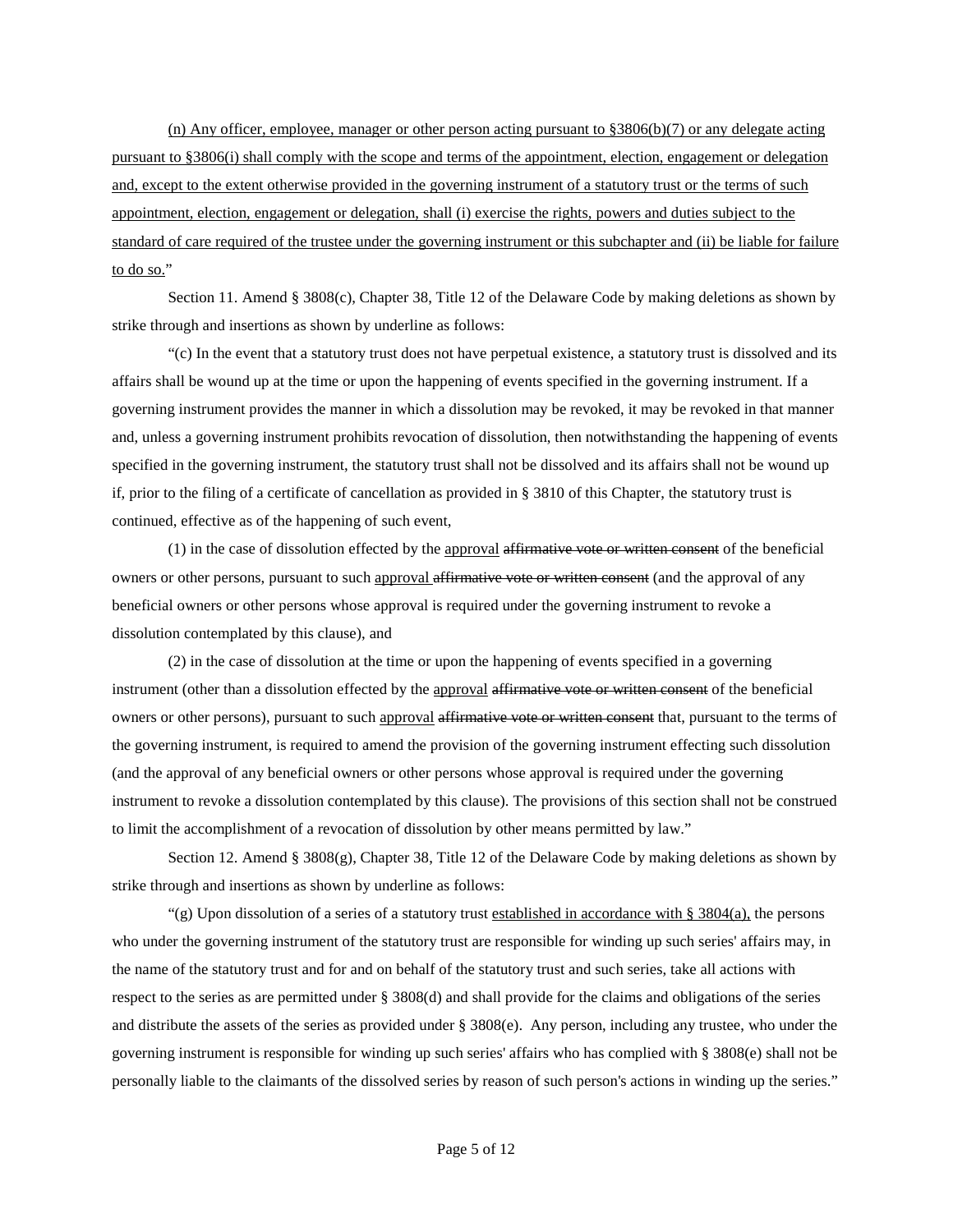(n) Any officer, employee, manager or other person acting pursuant to §3806(b)(7) or any delegate acting pursuant to §3806(i) shall comply with the scope and terms of the appointment, election, engagement or delegation and, except to the extent otherwise provided in the governing instrument of a statutory trust or the terms of such appointment, election, engagement or delegation, shall (i) exercise the rights, powers and duties subject to the standard of care required of the trustee under the governing instrument or this subchapter and (ii) be liable for failure to do so."

Section 11. Amend § 3808(c), Chapter 38, Title 12 of the Delaware Code by making deletions as shown by strike through and insertions as shown by underline as follows:

"(c) In the event that a statutory trust does not have perpetual existence, a statutory trust is dissolved and its affairs shall be wound up at the time or upon the happening of events specified in the governing instrument. If a governing instrument provides the manner in which a dissolution may be revoked, it may be revoked in that manner and, unless a governing instrument prohibits revocation of dissolution, then notwithstanding the happening of events specified in the governing instrument, the statutory trust shall not be dissolved and its affairs shall not be wound up if, prior to the filing of a certificate of cancellation as provided in § 3810 of this Chapter, the statutory trust is continued, effective as of the happening of such event,

 $(1)$  in the case of dissolution effected by the approval affirmative vote or written consent of the beneficial owners or other persons, pursuant to such approval affirmative vote or written consent (and the approval of any beneficial owners or other persons whose approval is required under the governing instrument to revoke a dissolution contemplated by this clause), and

(2) in the case of dissolution at the time or upon the happening of events specified in a governing instrument (other than a dissolution effected by the approval affirmative vote or written consent of the beneficial owners or other persons), pursuant to such approval affirmative vote or written consent that, pursuant to the terms of the governing instrument, is required to amend the provision of the governing instrument effecting such dissolution (and the approval of any beneficial owners or other persons whose approval is required under the governing instrument to revoke a dissolution contemplated by this clause). The provisions of this section shall not be construed to limit the accomplishment of a revocation of dissolution by other means permitted by law."

Section 12. Amend § 3808(g), Chapter 38, Title 12 of the Delaware Code by making deletions as shown by strike through and insertions as shown by underline as follows:

"(g) Upon dissolution of a series of a statutory trust established in accordance with § 3804(a), the persons who under the governing instrument of the statutory trust are responsible for winding up such series' affairs may, in the name of the statutory trust and for and on behalf of the statutory trust and such series, take all actions with respect to the series as are permitted under § 3808(d) and shall provide for the claims and obligations of the series and distribute the assets of the series as provided under § 3808(e). Any person, including any trustee, who under the governing instrument is responsible for winding up such series' affairs who has complied with § 3808(e) shall not be personally liable to the claimants of the dissolved series by reason of such person's actions in winding up the series."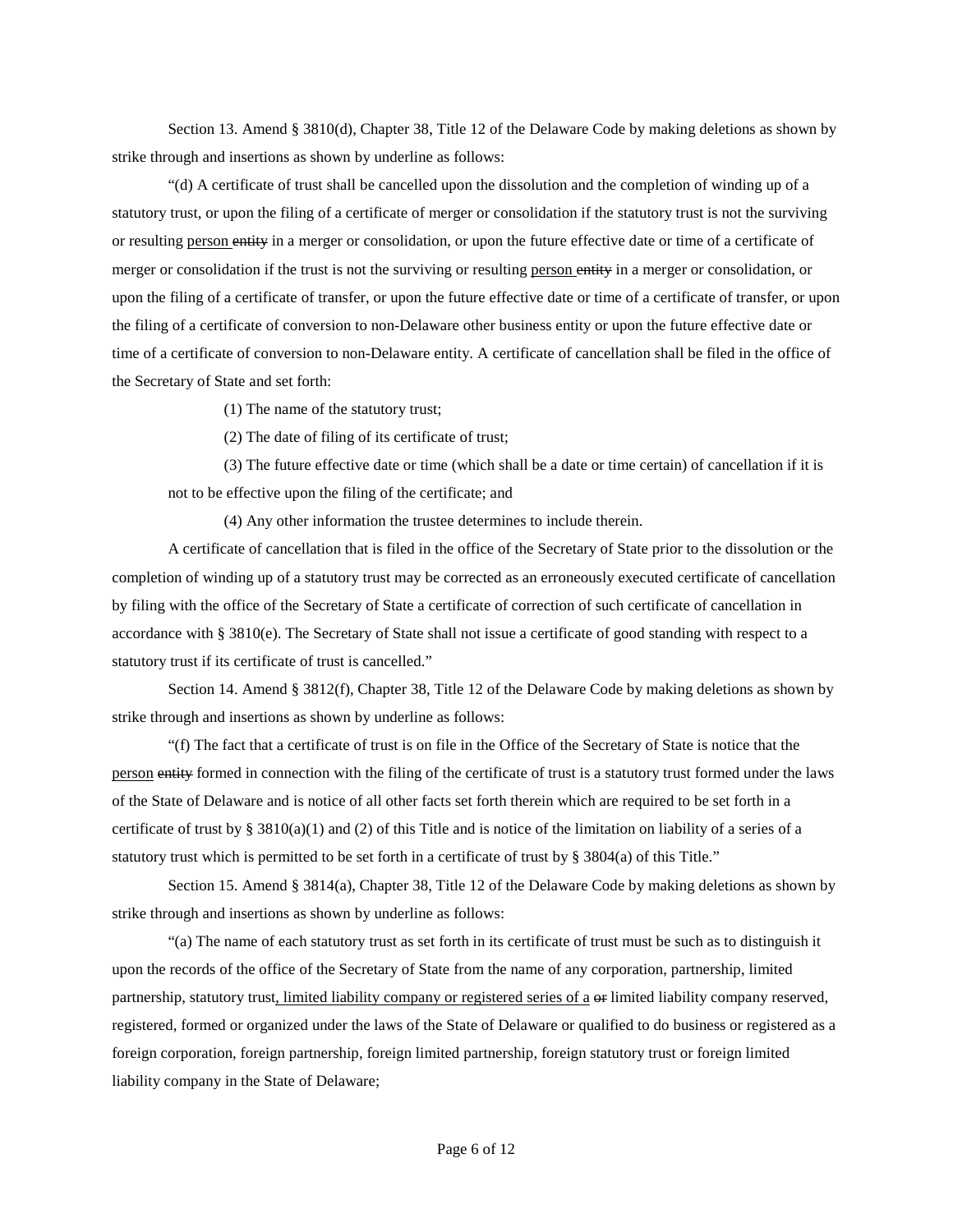Section 13. Amend § 3810(d), Chapter 38, Title 12 of the Delaware Code by making deletions as shown by strike through and insertions as shown by underline as follows:

"(d) A certificate of trust shall be cancelled upon the dissolution and the completion of winding up of a statutory trust, or upon the filing of a certificate of merger or consolidation if the statutory trust is not the surviving or resulting person entity in a merger or consolidation, or upon the future effective date or time of a certificate of merger or consolidation if the trust is not the surviving or resulting person entity in a merger or consolidation, or upon the filing of a certificate of transfer, or upon the future effective date or time of a certificate of transfer, or upon the filing of a certificate of conversion to non-Delaware other business entity or upon the future effective date or time of a certificate of conversion to non-Delaware entity. A certificate of cancellation shall be filed in the office of the Secretary of State and set forth:

(1) The name of the statutory trust;

(2) The date of filing of its certificate of trust;

(3) The future effective date or time (which shall be a date or time certain) of cancellation if it is not to be effective upon the filing of the certificate; and

(4) Any other information the trustee determines to include therein.

A certificate of cancellation that is filed in the office of the Secretary of State prior to the dissolution or the completion of winding up of a statutory trust may be corrected as an erroneously executed certificate of cancellation by filing with the office of the Secretary of State a certificate of correction of such certificate of cancellation in accordance with § 3810(e). The Secretary of State shall not issue a certificate of good standing with respect to a statutory trust if its certificate of trust is cancelled."

Section 14. Amend § 3812(f), Chapter 38, Title 12 of the Delaware Code by making deletions as shown by strike through and insertions as shown by underline as follows:

"(f) The fact that a certificate of trust is on file in the Office of the Secretary of State is notice that the person entity formed in connection with the filing of the certificate of trust is a statutory trust formed under the laws of the State of Delaware and is notice of all other facts set forth therein which are required to be set forth in a certificate of trust by §  $3810(a)(1)$  and (2) of this Title and is notice of the limitation on liability of a series of a statutory trust which is permitted to be set forth in a certificate of trust by § 3804(a) of this Title."

Section 15. Amend § 3814(a), Chapter 38, Title 12 of the Delaware Code by making deletions as shown by strike through and insertions as shown by underline as follows:

"(a) The name of each statutory trust as set forth in its certificate of trust must be such as to distinguish it upon the records of the office of the Secretary of State from the name of any corporation, partnership, limited partnership, statutory trust, limited liability company or registered series of a  $\Theta$  limited liability company reserved, registered, formed or organized under the laws of the State of Delaware or qualified to do business or registered as a foreign corporation, foreign partnership, foreign limited partnership, foreign statutory trust or foreign limited liability company in the State of Delaware;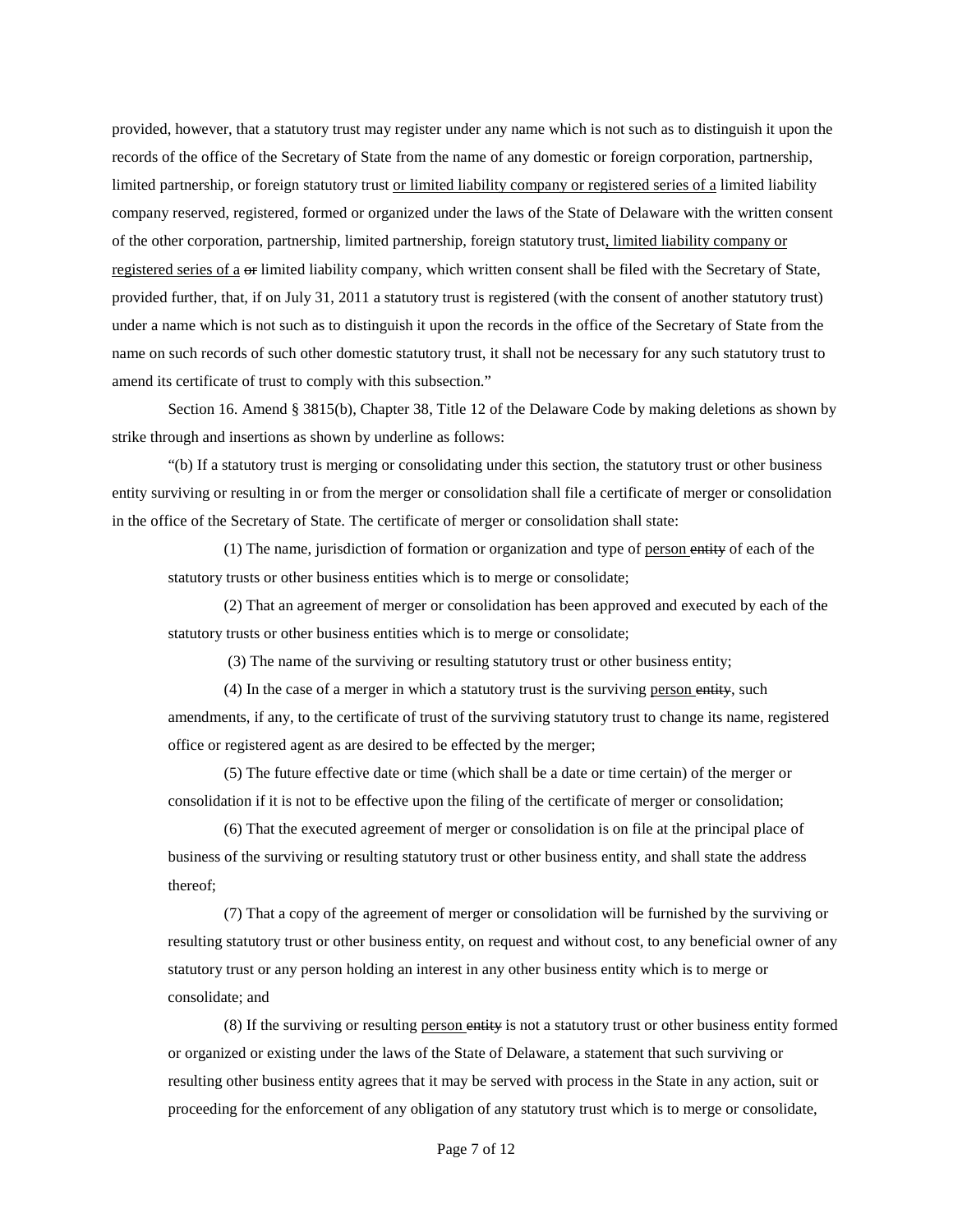provided, however, that a statutory trust may register under any name which is not such as to distinguish it upon the records of the office of the Secretary of State from the name of any domestic or foreign corporation, partnership, limited partnership, or foreign statutory trust or limited liability company or registered series of a limited liability company reserved, registered, formed or organized under the laws of the State of Delaware with the written consent of the other corporation, partnership, limited partnership, foreign statutory trust, limited liability company or registered series of a or limited liability company, which written consent shall be filed with the Secretary of State, provided further, that, if on July 31, 2011 a statutory trust is registered (with the consent of another statutory trust) under a name which is not such as to distinguish it upon the records in the office of the Secretary of State from the name on such records of such other domestic statutory trust, it shall not be necessary for any such statutory trust to amend its certificate of trust to comply with this subsection."

Section 16. Amend § 3815(b), Chapter 38, Title 12 of the Delaware Code by making deletions as shown by strike through and insertions as shown by underline as follows:

"(b) If a statutory trust is merging or consolidating under this section, the statutory trust or other business entity surviving or resulting in or from the merger or consolidation shall file a certificate of merger or consolidation in the office of the Secretary of State. The certificate of merger or consolidation shall state:

(1) The name, jurisdiction of formation or organization and type of person entity of each of the statutory trusts or other business entities which is to merge or consolidate;

(2) That an agreement of merger or consolidation has been approved and executed by each of the statutory trusts or other business entities which is to merge or consolidate;

(3) The name of the surviving or resulting statutory trust or other business entity;

(4) In the case of a merger in which a statutory trust is the surviving person entity, such amendments, if any, to the certificate of trust of the surviving statutory trust to change its name, registered office or registered agent as are desired to be effected by the merger;

(5) The future effective date or time (which shall be a date or time certain) of the merger or consolidation if it is not to be effective upon the filing of the certificate of merger or consolidation;

(6) That the executed agreement of merger or consolidation is on file at the principal place of business of the surviving or resulting statutory trust or other business entity, and shall state the address thereof;

(7) That a copy of the agreement of merger or consolidation will be furnished by the surviving or resulting statutory trust or other business entity, on request and without cost, to any beneficial owner of any statutory trust or any person holding an interest in any other business entity which is to merge or consolidate; and

(8) If the surviving or resulting person entity is not a statutory trust or other business entity formed or organized or existing under the laws of the State of Delaware, a statement that such surviving or resulting other business entity agrees that it may be served with process in the State in any action, suit or proceeding for the enforcement of any obligation of any statutory trust which is to merge or consolidate,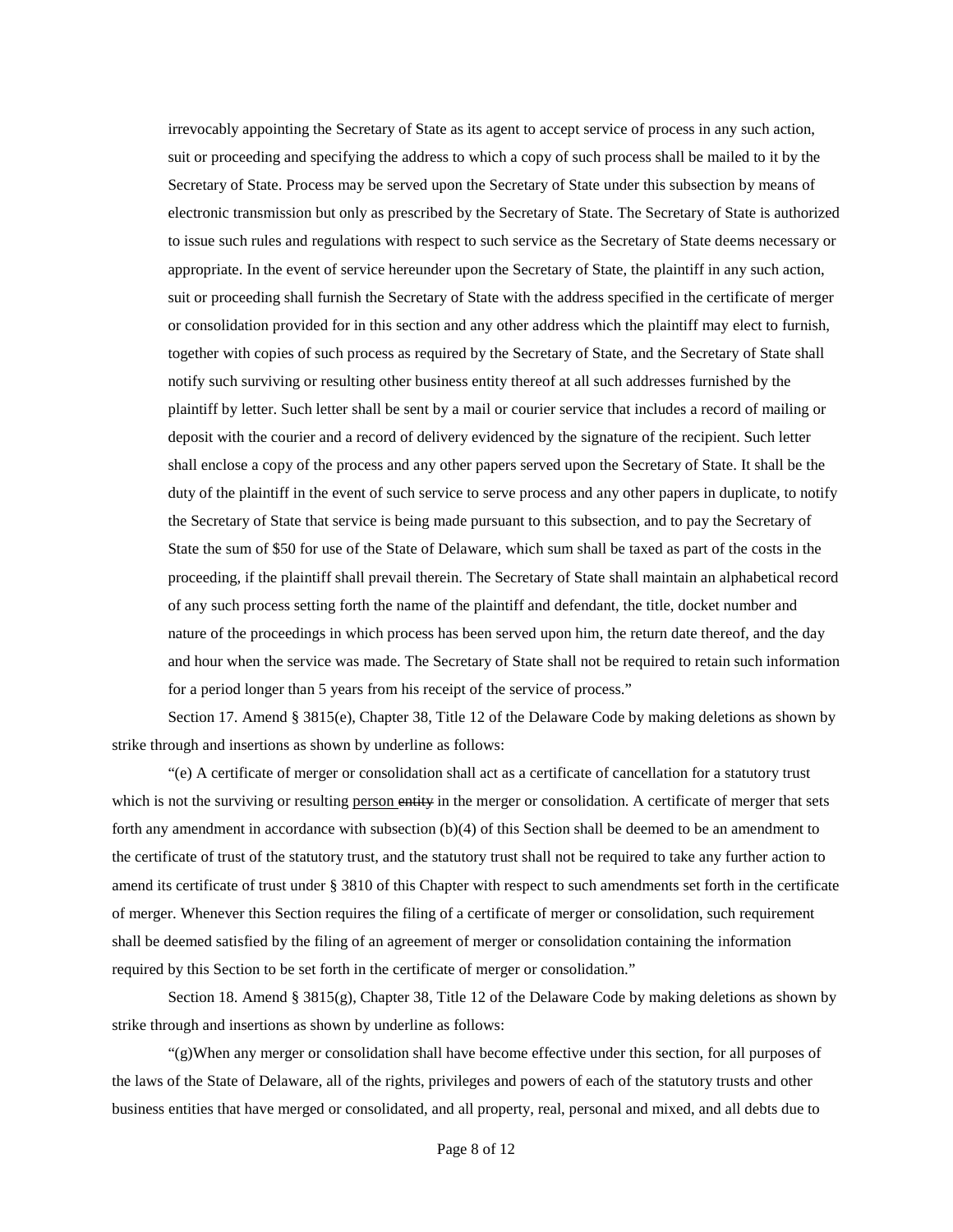irrevocably appointing the Secretary of State as its agent to accept service of process in any such action, suit or proceeding and specifying the address to which a copy of such process shall be mailed to it by the Secretary of State. Process may be served upon the Secretary of State under this subsection by means of electronic transmission but only as prescribed by the Secretary of State. The Secretary of State is authorized to issue such rules and regulations with respect to such service as the Secretary of State deems necessary or appropriate. In the event of service hereunder upon the Secretary of State, the plaintiff in any such action, suit or proceeding shall furnish the Secretary of State with the address specified in the certificate of merger or consolidation provided for in this section and any other address which the plaintiff may elect to furnish, together with copies of such process as required by the Secretary of State, and the Secretary of State shall notify such surviving or resulting other business entity thereof at all such addresses furnished by the plaintiff by letter. Such letter shall be sent by a mail or courier service that includes a record of mailing or deposit with the courier and a record of delivery evidenced by the signature of the recipient. Such letter shall enclose a copy of the process and any other papers served upon the Secretary of State. It shall be the duty of the plaintiff in the event of such service to serve process and any other papers in duplicate, to notify the Secretary of State that service is being made pursuant to this subsection, and to pay the Secretary of State the sum of \$50 for use of the State of Delaware, which sum shall be taxed as part of the costs in the proceeding, if the plaintiff shall prevail therein. The Secretary of State shall maintain an alphabetical record of any such process setting forth the name of the plaintiff and defendant, the title, docket number and nature of the proceedings in which process has been served upon him, the return date thereof, and the day and hour when the service was made. The Secretary of State shall not be required to retain such information for a period longer than 5 years from his receipt of the service of process."

Section 17. Amend § 3815(e), Chapter 38, Title 12 of the Delaware Code by making deletions as shown by strike through and insertions as shown by underline as follows:

"(e) A certificate of merger or consolidation shall act as a certificate of cancellation for a statutory trust which is not the surviving or resulting person entity in the merger or consolidation. A certificate of merger that sets forth any amendment in accordance with subsection (b)(4) of this Section shall be deemed to be an amendment to the certificate of trust of the statutory trust, and the statutory trust shall not be required to take any further action to amend its certificate of trust under § 3810 of this Chapter with respect to such amendments set forth in the certificate of merger. Whenever this Section requires the filing of a certificate of merger or consolidation, such requirement shall be deemed satisfied by the filing of an agreement of merger or consolidation containing the information required by this Section to be set forth in the certificate of merger or consolidation."

Section 18. Amend § 3815(g), Chapter 38, Title 12 of the Delaware Code by making deletions as shown by strike through and insertions as shown by underline as follows:

"(g)When any merger or consolidation shall have become effective under this section, for all purposes of the laws of the State of Delaware, all of the rights, privileges and powers of each of the statutory trusts and other business entities that have merged or consolidated, and all property, real, personal and mixed, and all debts due to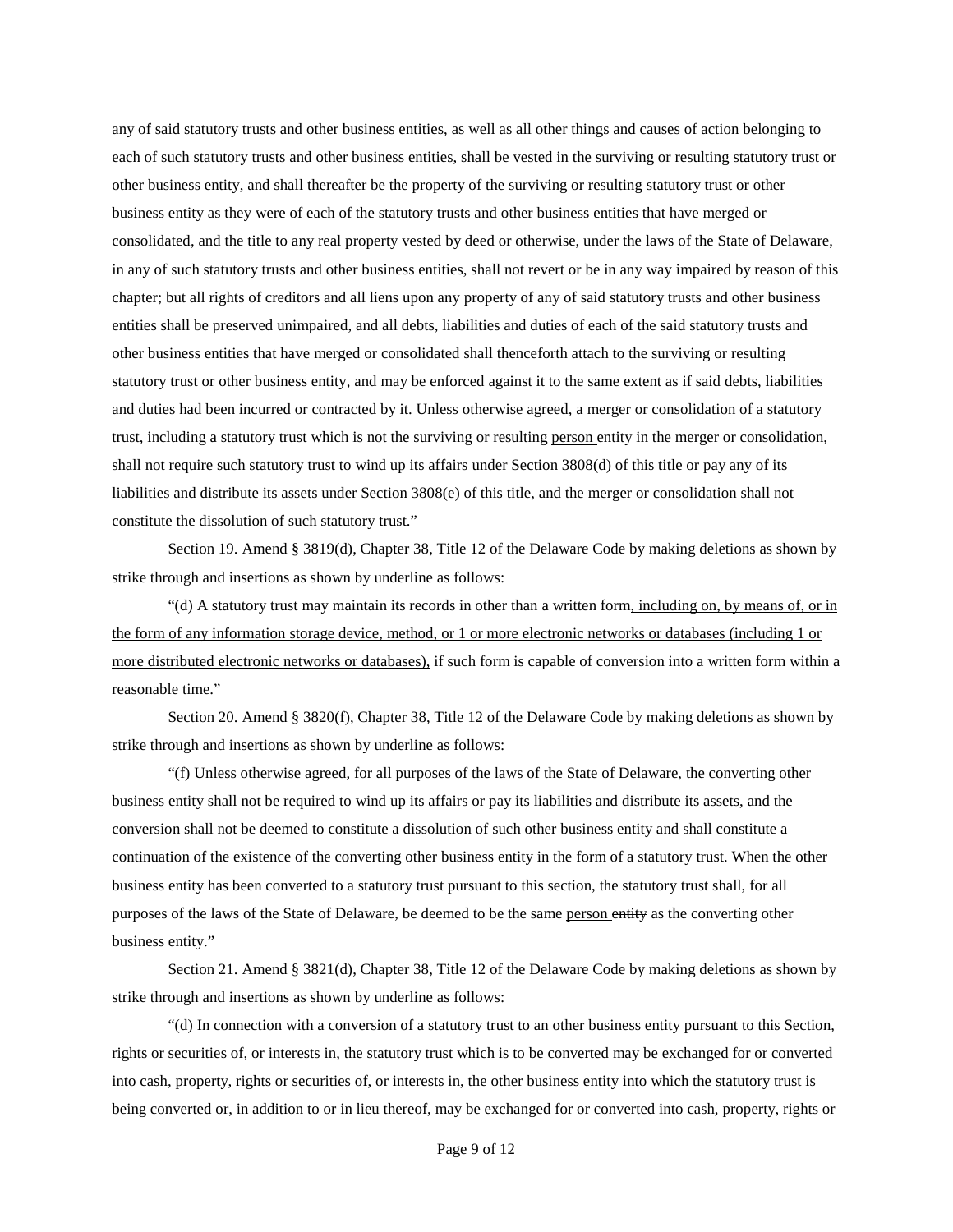any of said statutory trusts and other business entities, as well as all other things and causes of action belonging to each of such statutory trusts and other business entities, shall be vested in the surviving or resulting statutory trust or other business entity, and shall thereafter be the property of the surviving or resulting statutory trust or other business entity as they were of each of the statutory trusts and other business entities that have merged or consolidated, and the title to any real property vested by deed or otherwise, under the laws of the State of Delaware, in any of such statutory trusts and other business entities, shall not revert or be in any way impaired by reason of this chapter; but all rights of creditors and all liens upon any property of any of said statutory trusts and other business entities shall be preserved unimpaired, and all debts, liabilities and duties of each of the said statutory trusts and other business entities that have merged or consolidated shall thenceforth attach to the surviving or resulting statutory trust or other business entity, and may be enforced against it to the same extent as if said debts, liabilities and duties had been incurred or contracted by it. Unless otherwise agreed, a merger or consolidation of a statutory trust, including a statutory trust which is not the surviving or resulting person entity in the merger or consolidation, shall not require such statutory trust to wind up its affairs under Section 3808(d) of this title or pay any of its liabilities and distribute its assets under Section 3808(e) of this title, and the merger or consolidation shall not constitute the dissolution of such statutory trust."

Section 19. Amend § 3819(d), Chapter 38, Title 12 of the Delaware Code by making deletions as shown by strike through and insertions as shown by underline as follows:

"(d) A statutory trust may maintain its records in other than a written form, including on, by means of, or in the form of any information storage device, method, or 1 or more electronic networks or databases (including 1 or more distributed electronic networks or databases), if such form is capable of conversion into a written form within a reasonable time."

Section 20. Amend § 3820(f), Chapter 38, Title 12 of the Delaware Code by making deletions as shown by strike through and insertions as shown by underline as follows:

"(f) Unless otherwise agreed, for all purposes of the laws of the State of Delaware, the converting other business entity shall not be required to wind up its affairs or pay its liabilities and distribute its assets, and the conversion shall not be deemed to constitute a dissolution of such other business entity and shall constitute a continuation of the existence of the converting other business entity in the form of a statutory trust. When the other business entity has been converted to a statutory trust pursuant to this section, the statutory trust shall, for all purposes of the laws of the State of Delaware, be deemed to be the same person entity as the converting other business entity."

Section 21. Amend § 3821(d), Chapter 38, Title 12 of the Delaware Code by making deletions as shown by strike through and insertions as shown by underline as follows:

"(d) In connection with a conversion of a statutory trust to an other business entity pursuant to this Section, rights or securities of, or interests in, the statutory trust which is to be converted may be exchanged for or converted into cash, property, rights or securities of, or interests in, the other business entity into which the statutory trust is being converted or, in addition to or in lieu thereof, may be exchanged for or converted into cash, property, rights or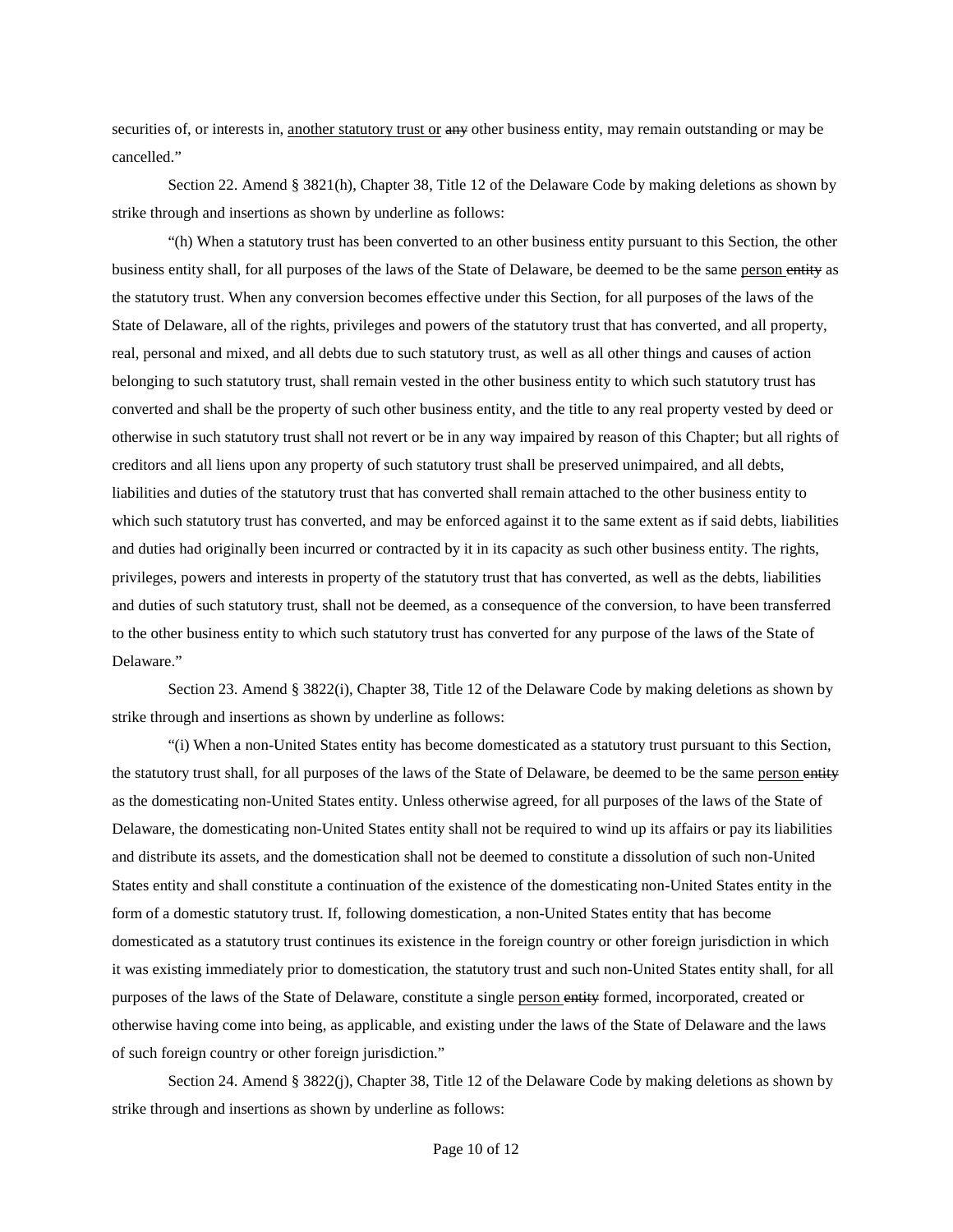securities of, or interests in, another statutory trust or any other business entity, may remain outstanding or may be cancelled."

Section 22. Amend § 3821(h), Chapter 38, Title 12 of the Delaware Code by making deletions as shown by strike through and insertions as shown by underline as follows:

"(h) When a statutory trust has been converted to an other business entity pursuant to this Section, the other business entity shall, for all purposes of the laws of the State of Delaware, be deemed to be the same person entity as the statutory trust. When any conversion becomes effective under this Section, for all purposes of the laws of the State of Delaware, all of the rights, privileges and powers of the statutory trust that has converted, and all property, real, personal and mixed, and all debts due to such statutory trust, as well as all other things and causes of action belonging to such statutory trust, shall remain vested in the other business entity to which such statutory trust has converted and shall be the property of such other business entity, and the title to any real property vested by deed or otherwise in such statutory trust shall not revert or be in any way impaired by reason of this Chapter; but all rights of creditors and all liens upon any property of such statutory trust shall be preserved unimpaired, and all debts, liabilities and duties of the statutory trust that has converted shall remain attached to the other business entity to which such statutory trust has converted, and may be enforced against it to the same extent as if said debts, liabilities and duties had originally been incurred or contracted by it in its capacity as such other business entity. The rights, privileges, powers and interests in property of the statutory trust that has converted, as well as the debts, liabilities and duties of such statutory trust, shall not be deemed, as a consequence of the conversion, to have been transferred to the other business entity to which such statutory trust has converted for any purpose of the laws of the State of Delaware."

Section 23. Amend § 3822(i), Chapter 38, Title 12 of the Delaware Code by making deletions as shown by strike through and insertions as shown by underline as follows:

"(i) When a non-United States entity has become domesticated as a statutory trust pursuant to this Section, the statutory trust shall, for all purposes of the laws of the State of Delaware, be deemed to be the same person entity as the domesticating non-United States entity. Unless otherwise agreed, for all purposes of the laws of the State of Delaware, the domesticating non-United States entity shall not be required to wind up its affairs or pay its liabilities and distribute its assets, and the domestication shall not be deemed to constitute a dissolution of such non-United States entity and shall constitute a continuation of the existence of the domesticating non-United States entity in the form of a domestic statutory trust. If, following domestication, a non-United States entity that has become domesticated as a statutory trust continues its existence in the foreign country or other foreign jurisdiction in which it was existing immediately prior to domestication, the statutory trust and such non-United States entity shall, for all purposes of the laws of the State of Delaware, constitute a single person entity formed, incorporated, created or otherwise having come into being, as applicable, and existing under the laws of the State of Delaware and the laws of such foreign country or other foreign jurisdiction."

Section 24. Amend § 3822(j), Chapter 38, Title 12 of the Delaware Code by making deletions as shown by strike through and insertions as shown by underline as follows: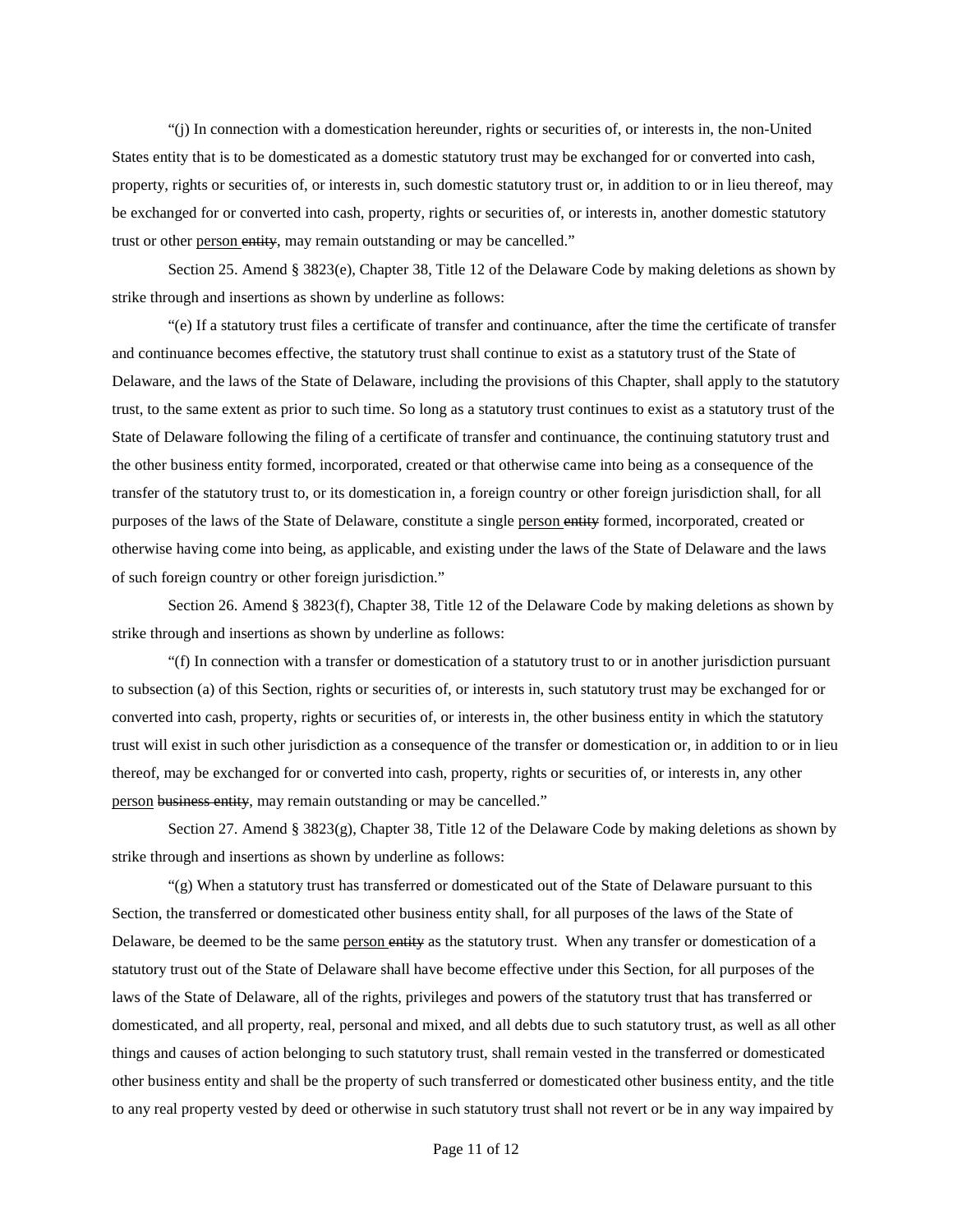"(j) In connection with a domestication hereunder, rights or securities of, or interests in, the non-United States entity that is to be domesticated as a domestic statutory trust may be exchanged for or converted into cash, property, rights or securities of, or interests in, such domestic statutory trust or, in addition to or in lieu thereof, may be exchanged for or converted into cash, property, rights or securities of, or interests in, another domestic statutory trust or other person entity, may remain outstanding or may be cancelled."

Section 25. Amend § 3823(e), Chapter 38, Title 12 of the Delaware Code by making deletions as shown by strike through and insertions as shown by underline as follows:

"(e) If a statutory trust files a certificate of transfer and continuance, after the time the certificate of transfer and continuance becomes effective, the statutory trust shall continue to exist as a statutory trust of the State of Delaware, and the laws of the State of Delaware, including the provisions of this Chapter, shall apply to the statutory trust, to the same extent as prior to such time. So long as a statutory trust continues to exist as a statutory trust of the State of Delaware following the filing of a certificate of transfer and continuance, the continuing statutory trust and the other business entity formed, incorporated, created or that otherwise came into being as a consequence of the transfer of the statutory trust to, or its domestication in, a foreign country or other foreign jurisdiction shall, for all purposes of the laws of the State of Delaware, constitute a single person entity formed, incorporated, created or otherwise having come into being, as applicable, and existing under the laws of the State of Delaware and the laws of such foreign country or other foreign jurisdiction."

Section 26. Amend § 3823(f), Chapter 38, Title 12 of the Delaware Code by making deletions as shown by strike through and insertions as shown by underline as follows:

"(f) In connection with a transfer or domestication of a statutory trust to or in another jurisdiction pursuant to subsection (a) of this Section, rights or securities of, or interests in, such statutory trust may be exchanged for or converted into cash, property, rights or securities of, or interests in, the other business entity in which the statutory trust will exist in such other jurisdiction as a consequence of the transfer or domestication or, in addition to or in lieu thereof, may be exchanged for or converted into cash, property, rights or securities of, or interests in, any other person business entity, may remain outstanding or may be cancelled."

Section 27. Amend § 3823(g), Chapter 38, Title 12 of the Delaware Code by making deletions as shown by strike through and insertions as shown by underline as follows:

"(g) When a statutory trust has transferred or domesticated out of the State of Delaware pursuant to this Section, the transferred or domesticated other business entity shall, for all purposes of the laws of the State of Delaware, be deemed to be the same person entity as the statutory trust. When any transfer or domestication of a statutory trust out of the State of Delaware shall have become effective under this Section, for all purposes of the laws of the State of Delaware, all of the rights, privileges and powers of the statutory trust that has transferred or domesticated, and all property, real, personal and mixed, and all debts due to such statutory trust, as well as all other things and causes of action belonging to such statutory trust, shall remain vested in the transferred or domesticated other business entity and shall be the property of such transferred or domesticated other business entity, and the title to any real property vested by deed or otherwise in such statutory trust shall not revert or be in any way impaired by